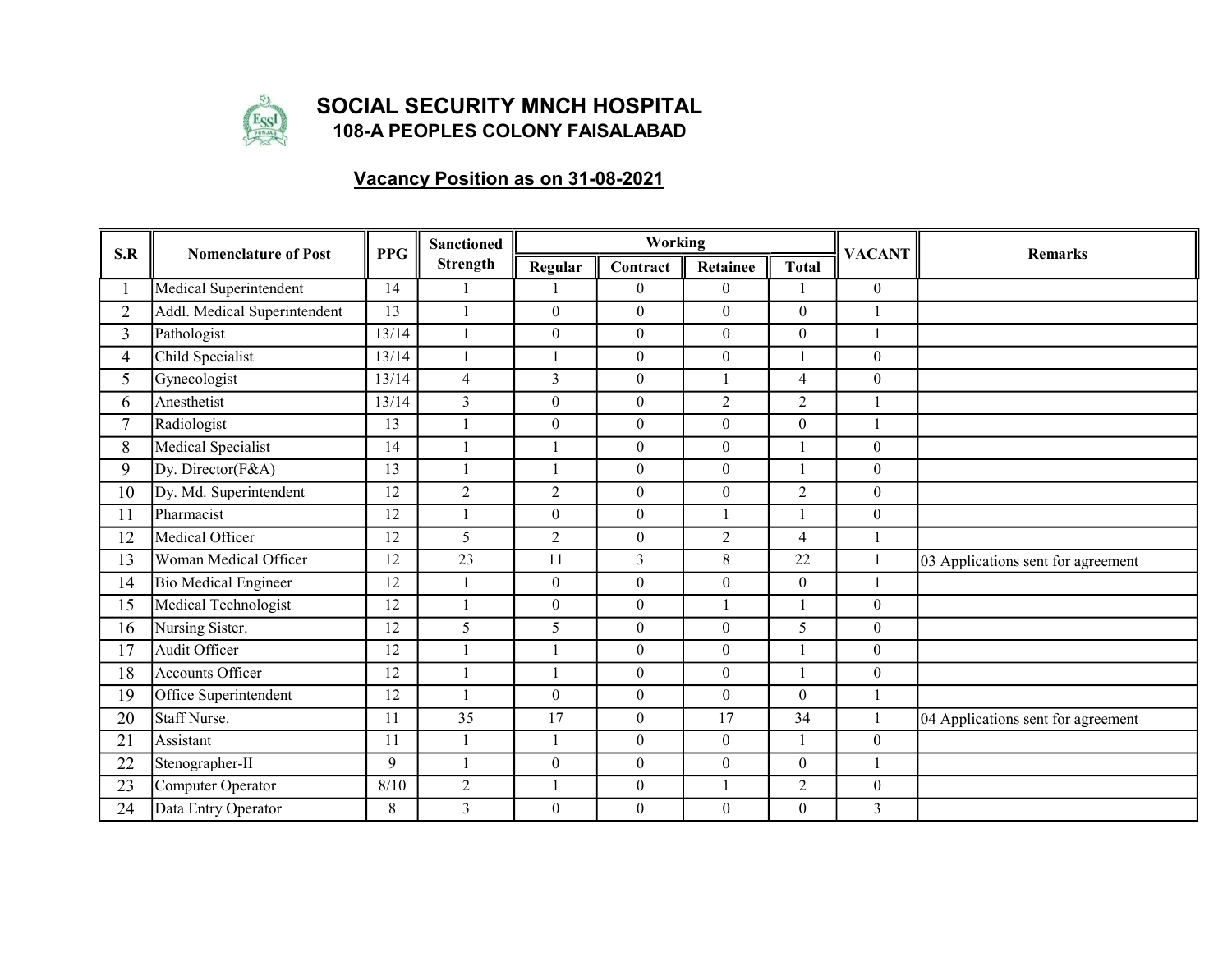

## SOCIAL SECURITY MNCH HOSPITAL 108-A PEOPLES COLONY FAISALABAD

## Vacancy Position as on 31-08-2021

| S.R            | <b>Nomenclature of Post</b>  | <b>PPG</b> | <b>Sanctioned</b><br><b>Strength</b> |                  | Working          |                  |                  | <b>VACANT</b>    | <b>Remarks</b>                     |
|----------------|------------------------------|------------|--------------------------------------|------------------|------------------|------------------|------------------|------------------|------------------------------------|
|                |                              |            |                                      | Regular          | Contract         | Retainee         | <b>Total</b>     |                  |                                    |
|                | Medical Superintendent       | 14         |                                      |                  | $\Omega$         | $\boldsymbol{0}$ |                  | $\theta$         |                                    |
| $\overline{2}$ | Addl. Medical Superintendent | 13         |                                      | $\overline{0}$   | $\overline{0}$   | $\boldsymbol{0}$ | $\overline{0}$   |                  |                                    |
| 3              | Pathologist                  | 13/14      |                                      | $\boldsymbol{0}$ | $\overline{0}$   | $\boldsymbol{0}$ | $\boldsymbol{0}$ |                  |                                    |
| 4              | Child Specialist             | 13/14      |                                      |                  | $\boldsymbol{0}$ | $\boldsymbol{0}$ |                  | $\mathbf{0}$     |                                    |
| 5              | Gynecologist                 | 13/14      | $\overline{4}$                       | 3                | $\overline{0}$   | $\overline{1}$   | $\overline{4}$   | $\mathbf{0}$     |                                    |
| 6              | Anesthetist                  | 13/14      | $\overline{3}$                       | $\boldsymbol{0}$ | $\overline{0}$   | $\overline{2}$   | $\overline{2}$   |                  |                                    |
| $\tau$         | Radiologist                  | 13         |                                      | $\overline{0}$   | $\overline{0}$   | $\boldsymbol{0}$ | $\Omega$         |                  |                                    |
| 8              | Medical Specialist           | 14         |                                      |                  | $\overline{0}$   | $\boldsymbol{0}$ |                  | $\mathbf{0}$     |                                    |
| 9              | Dy. Director(F&A)            | 13         |                                      |                  | $\overline{0}$   | $\boldsymbol{0}$ |                  | $\boldsymbol{0}$ |                                    |
| 10             | Dy. Md. Superintendent       | 12         | $\overline{2}$                       | $\overline{2}$   | $\overline{0}$   | $\boldsymbol{0}$ | $\overline{2}$   | $\mathbf{0}$     |                                    |
| 11             | Pharmacist                   | 12         |                                      | $\overline{0}$   | $\overline{0}$   | $\mathbf{1}$     |                  | $\mathbf{0}$     |                                    |
| 12             | Medical Officer              | 12         | 5                                    | $\overline{2}$   | $\overline{0}$   | $\overline{2}$   | $\overline{4}$   |                  |                                    |
| 13             | Woman Medical Officer        | 12         | $\overline{23}$                      | 11               | 3                | $8\,$            | $\overline{22}$  |                  | 03 Applications sent for agreement |
| 14             | Bio Medical Engineer         | 12         |                                      | $\overline{0}$   | $\overline{0}$   | $\mathbf{0}$     | $\overline{0}$   | $\mathbf{1}$     |                                    |
| 15             | Medical Technologist         | 12         |                                      | $\overline{0}$   | $\overline{0}$   |                  | $\mathbf{1}$     | $\boldsymbol{0}$ |                                    |
| 16             | Nursing Sister.              | 12         | 5                                    | 5                | $\overline{0}$   | $\boldsymbol{0}$ | 5                | $\mathbf{0}$     |                                    |
| 17             | Audit Officer                | 12         |                                      |                  | $\overline{0}$   | $\boldsymbol{0}$ |                  | $\theta$         |                                    |
| 18             | <b>Accounts Officer</b>      | 12         |                                      |                  | $\theta$         | $\boldsymbol{0}$ |                  | $\mathbf{0}$     |                                    |
| 19             | Office Superintendent        | 12         |                                      | $\theta$         | $\overline{0}$   | $\mathbf{0}$     | $\Omega$         |                  |                                    |
| 20             | <b>Staff Nurse.</b>          | 11         | $\overline{35}$                      | $\overline{17}$  | $\overline{0}$   | $\overline{17}$  | $\overline{34}$  |                  | 04 Applications sent for agreement |
| 21             | Assistant                    | 11         |                                      | $\mathbf{1}$     | $\overline{0}$   | $\boldsymbol{0}$ |                  | $\mathbf{0}$     |                                    |
| 22             | Stenographer-II              | 9          |                                      | $\overline{0}$   | $\overline{0}$   | $\boldsymbol{0}$ | $\overline{0}$   |                  |                                    |
| 23             | Computer Operator            | 8/10       | $\sqrt{2}$                           |                  | $\boldsymbol{0}$ |                  | $\overline{c}$   | $\boldsymbol{0}$ |                                    |
| 24             | Data Entry Operator          | 8          | $\overline{3}$                       | $\overline{0}$   | $\overline{0}$   | $\boldsymbol{0}$ | $\overline{0}$   | 3                |                                    |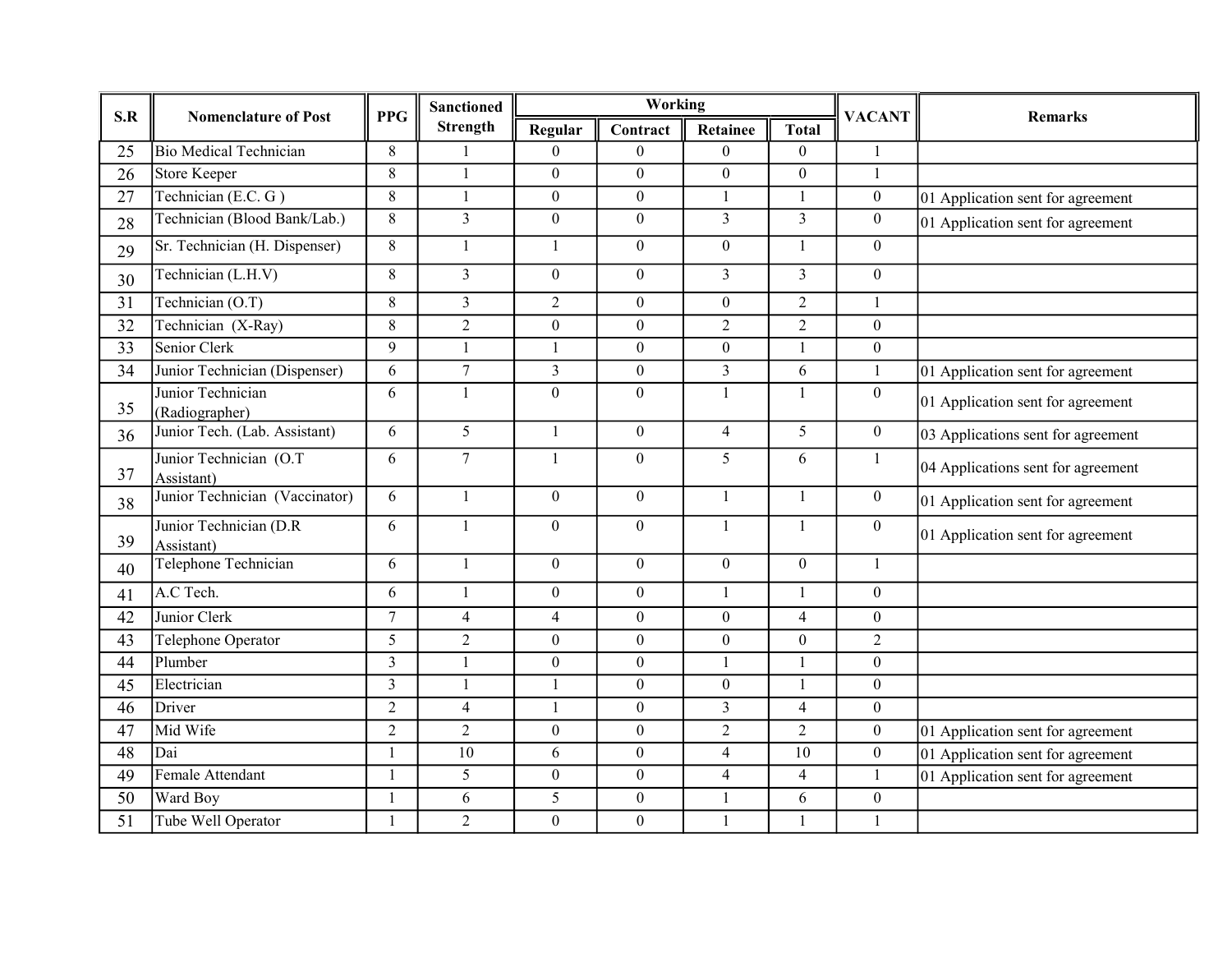| S.R             | <b>Nomenclature of Post</b>           | <b>PPG</b>     | <b>Sanctioned</b><br><b>Strength</b> |                  | Working          |                  |                  | <b>VACANT</b>    | <b>Remarks</b>                     |
|-----------------|---------------------------------------|----------------|--------------------------------------|------------------|------------------|------------------|------------------|------------------|------------------------------------|
|                 |                                       |                |                                      | Regular          | Contract         | Retainee         | <b>Total</b>     |                  |                                    |
| 25              | <b>Bio Medical Technician</b>         | 8              |                                      | $\boldsymbol{0}$ | $\theta$         | $\theta$         | $\theta$         | 1                |                                    |
| 26              | Store Keeper                          | $\,8\,$        | $\mathbf{1}$                         | $\overline{0}$   | $\theta$         | $\boldsymbol{0}$ | $\theta$         | $\mathbf{1}$     |                                    |
| 27              | Technician (E.C. $G$ )                | $\,8\,$        | $\mathbf{1}$                         | $\boldsymbol{0}$ | $\overline{0}$   | $\mathbf{1}$     | $\mathbf{1}$     | $\boldsymbol{0}$ | 01 Application sent for agreement  |
| 28              | Technician (Blood Bank/Lab.)          | 8              | $\overline{3}$                       | $\overline{0}$   | $\overline{0}$   | $\overline{3}$   | $\overline{3}$   | $\boldsymbol{0}$ | 01 Application sent for agreement  |
| 29              | Sr. Technician (H. Dispenser)         | 8              | $\mathbf{1}$                         | 1                | $\overline{0}$   | $\boldsymbol{0}$ | $\mathbf{1}$     | $\mathbf{0}$     |                                    |
| 30              | Technician (L.H.V)                    | 8              | $\overline{3}$                       | $\boldsymbol{0}$ | $\overline{0}$   | $\overline{3}$   | $\overline{3}$   | $\mathbf{0}$     |                                    |
| 31              | Technician (O.T)                      | 8              | $\overline{3}$                       | $\overline{2}$   | $\overline{0}$   | $\boldsymbol{0}$ | $\overline{2}$   | $\mathbf{1}$     |                                    |
| 32              | Technician (X-Ray)                    | 8              | $\overline{2}$                       | $\overline{0}$   | $\overline{0}$   | 2                | $\overline{2}$   | $\mathbf{0}$     |                                    |
| $\overline{33}$ | Senior Clerk                          | 9              | $\mathbf{1}$                         | $\mathbf{1}$     | $\overline{0}$   | $\boldsymbol{0}$ | $\mathbf{1}$     | $\overline{0}$   |                                    |
| 34              | Junior Technician (Dispenser)         | 6              | $\overline{7}$                       | $\overline{3}$   | $\overline{0}$   | $\mathfrak{Z}$   | 6                | 1                | 01 Application sent for agreement  |
| 35              | Junior Technician<br>(Radiographer)   | 6              | $\mathbf{1}$                         | $\overline{0}$   | $\theta$         | $\mathbf{1}$     | 1                | $\mathbf{0}$     | 01 Application sent for agreement  |
| 36              | Junior Tech. (Lab. Assistant)         | 6              | 5                                    | 1                | $\overline{0}$   | 4                | 5                | $\overline{0}$   | 03 Applications sent for agreement |
| 37              | Junior Technician (O.T)<br>Assistant) | 6              | $\tau$                               | $\mathbf{1}$     | $\overline{0}$   | 5                | 6                | $\mathbf{1}$     | 04 Applications sent for agreement |
| 38              | Junior Technician (Vaccinator)        | 6              | $\mathbf{1}$                         | $\overline{0}$   | $\overline{0}$   | $\mathbf{1}$     | $\mathbf{1}$     | $\overline{0}$   | 01 Application sent for agreement  |
| 39              | Junior Technician (D.R.<br>Assistant) | 6              | $\mathbf{1}$                         | $\overline{0}$   | $\overline{0}$   | $\mathbf{1}$     | $\mathbf{1}$     | $\theta$         | 01 Application sent for agreement  |
| 40              | Telephone Technician                  | 6              | $\mathbf{1}$                         | $\overline{0}$   | $\overline{0}$   | $\boldsymbol{0}$ | $\overline{0}$   | $\mathbf{1}$     |                                    |
| 41              | A.C Tech.                             | 6              | $\mathbf{1}$                         | $\boldsymbol{0}$ | $\overline{0}$   | $\mathbf{1}$     | $\mathbf{1}$     | $\mathbf{0}$     |                                    |
| 42              | Junior Clerk                          | $\overline{7}$ | $\overline{4}$                       | $\overline{4}$   | $\overline{0}$   | $\boldsymbol{0}$ | $\overline{4}$   | $\mathbf{0}$     |                                    |
| 43              | Telephone Operator                    | 5              | $\overline{2}$                       | $\overline{0}$   | $\overline{0}$   | $\boldsymbol{0}$ | $\boldsymbol{0}$ | $\overline{c}$   |                                    |
| 44              | Plumber                               | $\overline{3}$ | $\mathbf{1}$                         | $\overline{0}$   | $\overline{0}$   | $\mathbf{1}$     | 1                | $\boldsymbol{0}$ |                                    |
| 45              | Electrician                           | $\overline{3}$ | $\mathbf{1}$                         | $\mathbf{1}$     | $\overline{0}$   | $\boldsymbol{0}$ | 1                | $\boldsymbol{0}$ |                                    |
| 46              | Driver                                | $\overline{2}$ | $\overline{4}$                       | $\mathbf{1}$     | $\mathbf{0}$     | $\mathfrak{Z}$   | $\overline{4}$   | $\mathbf{0}$     |                                    |
| 47              | Mid Wife                              | $\overline{2}$ | $\overline{2}$                       | $\boldsymbol{0}$ | $\boldsymbol{0}$ | $\sqrt{2}$       | $\overline{2}$   | $\mathbf{0}$     | 01 Application sent for agreement  |
| $\overline{48}$ | Dai                                   | $\mathbf{1}$   | 10                                   | 6                | $\overline{0}$   | $\overline{4}$   | 10               | $\overline{0}$   | 01 Application sent for agreement  |
| 49              | Female Attendant                      | $\mathbf{1}$   | 5                                    | $\boldsymbol{0}$ | $\overline{0}$   | 4                | $\overline{4}$   | 1                | 01 Application sent for agreement  |
| 50              | Ward Boy                              |                | 6                                    | 5                | $\boldsymbol{0}$ | $\mathbf{1}$     | 6                | $\mathbf{0}$     |                                    |
| 51              | Tube Well Operator                    | 1              | $\overline{2}$                       | $\overline{0}$   | $\overline{0}$   | -1               | 1                | $\mathbf{1}$     |                                    |